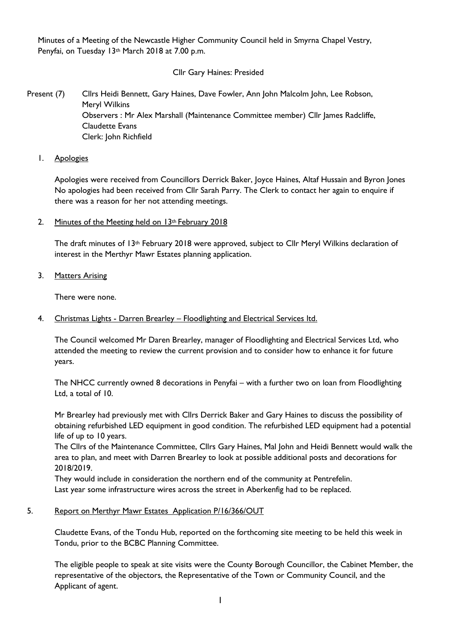Minutes of a Meeting of the Newcastle Higher Community Council held in Smyrna Chapel Vestry, Penyfai, on Tuesday 13th March 2018 at 7.00 p.m.

### Cllr Gary Haines: Presided

Present (7) Cllrs Heidi Bennett, Gary Haines, Dave Fowler, Ann John Malcolm John, Lee Robson, Meryl Wilkins Observers : Mr Alex Marshall (Maintenance Committee member) Cllr James Radcliffe, Claudette Evans Clerk: John Richfield

1. Apologies

Apologies were received from Councillors Derrick Baker, Joyce Haines, Altaf Hussain and Byron Jones No apologies had been received from Cllr Sarah Parry. The Clerk to contact her again to enquire if there was a reason for her not attending meetings.

2. Minutes of the Meeting held on  $13$ <sup>th</sup> February 2018

The draft minutes of  $13<sup>th</sup>$  February 2018 were approved, subject to Cllr Meryl Wilkins declaration of interest in the Merthyr Mawr Estates planning application.

3. Matters Arising

There were none.

4. Christmas Lights - Darren Brearley – Floodlighting and Electrical Services ltd.

The Council welcomed Mr Daren Brearley, manager of Floodlighting and Electrical Services Ltd, who attended the meeting to review the current provision and to consider how to enhance it for future years.

The NHCC currently owned 8 decorations in Penyfai – with a further two on loan from Floodlighting Ltd, a total of 10.

Mr Brearley had previously met with Cllrs Derrick Baker and Gary Haines to discuss the possibility of obtaining refurbished LED equipment in good condition. The refurbished LED equipment had a potential life of up to 10 years.

The Cllrs of the Maintenance Committee, Cllrs Gary Haines, Mal John and Heidi Bennett would walk the area to plan, and meet with Darren Brearley to look at possible additional posts and decorations for 2018/2019.

They would include in consideration the northern end of the community at Pentrefelin. Last year some infrastructure wires across the street in Aberkenfig had to be replaced.

### 5. Report on Merthyr Mawr Estates Application P/16/366/OUT

Claudette Evans, of the Tondu Hub, reported on the forthcoming site meeting to be held this week in Tondu, prior to the BCBC Planning Committee.

The eligible people to speak at site visits were the County Borough Councillor, the Cabinet Member, the representative of the objectors, the Representative of the Town or Community Council, and the Applicant of agent.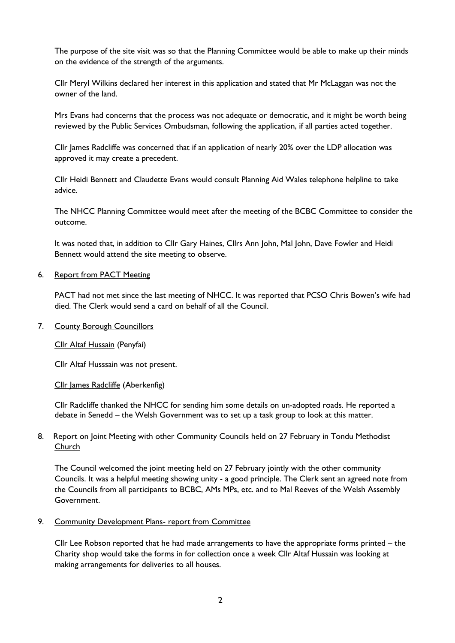The purpose of the site visit was so that the Planning Committee would be able to make up their minds on the evidence of the strength of the arguments.

Cllr Meryl Wilkins declared her interest in this application and stated that Mr McLaggan was not the owner of the land.

Mrs Evans had concerns that the process was not adequate or democratic, and it might be worth being reviewed by the Public Services Ombudsman, following the application, if all parties acted together.

Cllr James Radcliffe was concerned that if an application of nearly 20% over the LDP allocation was approved it may create a precedent.

Cllr Heidi Bennett and Claudette Evans would consult Planning Aid Wales telephone helpline to take advice.

The NHCC Planning Committee would meet after the meeting of the BCBC Committee to consider the outcome.

It was noted that, in addition to Cllr Gary Haines, Cllrs Ann John, Mal John, Dave Fowler and Heidi Bennett would attend the site meeting to observe.

### 6. Report from PACT Meeting

PACT had not met since the last meeting of NHCC. It was reported that PCSO Chris Bowen's wife had died. The Clerk would send a card on behalf of all the Council.

### 7. County Borough Councillors

### Cllr Altaf Hussain (Penyfai)

Cllr Altaf Husssain was not present.

Cllr James Radcliffe (Aberkenfig)

Cllr Radcliffe thanked the NHCC for sending him some details on un-adopted roads. He reported a debate in Senedd – the Welsh Government was to set up a task group to look at this matter.

### 8. Report on Joint Meeting with other Community Councils held on 27 February in Tondu Methodist Church

The Council welcomed the joint meeting held on 27 February jointly with the other community Councils. It was a helpful meeting showing unity - a good principle. The Clerk sent an agreed note from the Councils from all participants to BCBC, AMs MPs, etc. and to Mal Reeves of the Welsh Assembly Government.

### 9. Community Development Plans- report from Committee

Cllr Lee Robson reported that he had made arrangements to have the appropriate forms printed – the Charity shop would take the forms in for collection once a week Cllr Altaf Hussain was looking at making arrangements for deliveries to all houses.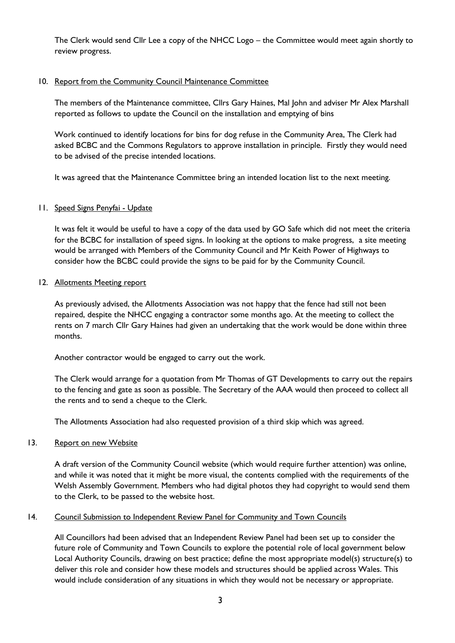The Clerk would send Cllr Lee a copy of the NHCC Logo – the Committee would meet again shortly to review progress.

### 10. Report from the Community Council Maintenance Committee

The members of the Maintenance committee, Cllrs Gary Haines, Mal John and adviser Mr Alex Marshall reported as follows to update the Council on the installation and emptying of bins

Work continued to identify locations for bins for dog refuse in the Community Area, The Clerk had asked BCBC and the Commons Regulators to approve installation in principle. Firstly they would need to be advised of the precise intended locations.

It was agreed that the Maintenance Committee bring an intended location list to the next meeting.

### 11. Speed Signs Penyfai - Update

It was felt it would be useful to have a copy of the data used by GO Safe which did not meet the criteria for the BCBC for installation of speed signs. In looking at the options to make progress, a site meeting would be arranged with Members of the Community Council and Mr Keith Power of Highways to consider how the BCBC could provide the signs to be paid for by the Community Council.

### 12. Allotments Meeting report

As previously advised, the Allotments Association was not happy that the fence had still not been repaired, despite the NHCC engaging a contractor some months ago. At the meeting to collect the rents on 7 march Cllr Gary Haines had given an undertaking that the work would be done within three months.

Another contractor would be engaged to carry out the work.

The Clerk would arrange for a quotation from Mr Thomas of GT Developments to carry out the repairs to the fencing and gate as soon as possible. The Secretary of the AAA would then proceed to collect all the rents and to send a cheque to the Clerk.

The Allotments Association had also requested provision of a third skip which was agreed.

### 13. Report on new Website

A draft version of the Community Council website (which would require further attention) was online, and while it was noted that it might be more visual, the contents complied with the requirements of the Welsh Assembly Government. Members who had digital photos they had copyright to would send them to the Clerk, to be passed to the website host.

### 14. Council Submission to Independent Review Panel for Community and Town Councils

All Councillors had been advised that an Independent Review Panel had been set up to consider the future role of Community and Town Councils to explore the potential role of local government below Local Authority Councils, drawing on best practice; define the most appropriate model(s) structure(s) to deliver this role and consider how these models and structures should be applied across Wales. This would include consideration of any situations in which they would not be necessary or appropriate.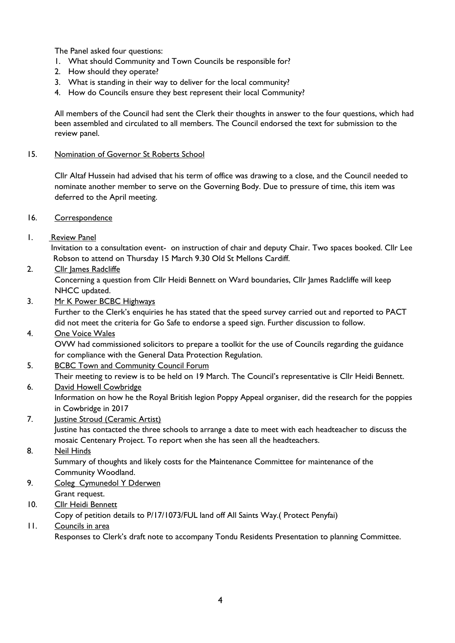The Panel asked four questions:

- 1. What should Community and Town Councils be responsible for?
- 2. How should they operate?
- 3. What is standing in their way to deliver for the local community?
- 4. How do Councils ensure they best represent their local Community?

All members of the Council had sent the Clerk their thoughts in answer to the four questions, which had been assembled and circulated to all members. The Council endorsed the text for submission to the review panel.

### 15. Nomination of Governor St Roberts School

Cllr Altaf Hussein had advised that his term of office was drawing to a close, and the Council needed to nominate another member to serve on the Governing Body. Due to pressure of time, this item was deferred to the April meeting.

- 16. Correspondence
- 1. Review Panel

Invitation to a consultation event- on instruction of chair and deputy Chair. Two spaces booked. Cllr Lee Robson to attend on Thursday 15 March 9.30 Old St Mellons Cardiff.

# 2. Cllr James Radcliffe

Concerning a question from Cllr Heidi Bennett on Ward boundaries, Cllr James Radcliffe will keep NHCC updated.

3. Mr K Power BCBC Highways

Further to the Clerk's enquiries he has stated that the speed survey carried out and reported to PACT did not meet the criteria for Go Safe to endorse a speed sign. Further discussion to follow.

# 4. One Voice Wales

OVW had commissioned solicitors to prepare a toolkit for the use of Councils regarding the guidance for compliance with the General Data Protection Regulation.

# 5. BCBC Town and Community Council Forum

Their meeting to review is to be held on 19 March. The Council's representative is Cllr Heidi Bennett.

6. David Howell Cowbridge

Information on how he the Royal British legion Poppy Appeal organiser, did the research for the poppies in Cowbridge in 2017

# 7. Justine Stroud (Ceramic Artist)

Justine has contacted the three schools to arrange a date to meet with each headteacher to discuss the mosaic Centenary Project. To report when she has seen all the headteachers.

# 8. Neil Hinds

Summary of thoughts and likely costs for the Maintenance Committee for maintenance of the Community Woodland.

- 9. Coleg Cymunedol Y Dderwen Grant request.
- 10. Cllr Heidi Bennett

Copy of petition details to P/17/1073/FUL land off All Saints Way.( Protect Penyfai)

11. Councils in area Responses to Clerk's draft note to accompany Tondu Residents Presentation to planning Committee.